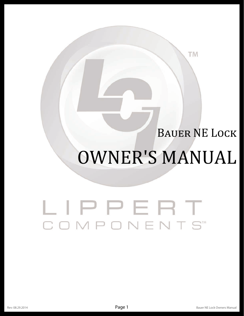### **BAUER NE LOCK**

TM

# **OWNER'S MANUAL**

## LIPPERT COMPONENTS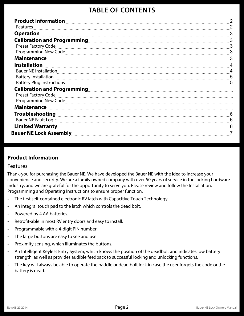#### **TABLE OF CONTENTS**

| <b>Product Information</b>    | $\overline{2}$ |
|-------------------------------|----------------|
| Features                      | 2              |
| <b>Operation</b>              | 3              |
|                               | 3              |
| <b>Preset Factory Code</b>    | 3              |
|                               | 3              |
| <b>Maintenance</b>            | 3              |
| <b>Installation</b>           |                |
| <b>Bauer NE Installation</b>  |                |
| <b>Battery Installation</b>   | 5              |
| Battery Plug Instructions     | 5              |
|                               |                |
| <b>Preset Factory Code</b>    |                |
|                               |                |
| <b>Maintenance</b>            |                |
| <b>Troubleshooting</b>        | 6              |
| <b>Bauer NE Fault Logic</b>   |                |
| <b>Limited Warranty</b>       | 6              |
| <b>Bauer NE Lock Assembly</b> |                |

#### **Product Information**

#### Features

Thank-you for purchasing the Bauer NE. We have developed the Bauer NE with the idea to increase your convenience and security. We are a family owned company with over 50 years of service in the locking hardware industry, and we are grateful for the opportunity to serve you. Please review and follow the Installation, Programming and Operating Instructions to ensure proper function.

- The first self-contained electronic RV latch with Capacitive Touch Technology.
- An integral touch pad to the latch which controls the dead bolt.
- Powered by 4 AA batteries.
- • Retrofit-able in most RV entry doors and easy to install.
- • Programmable with a 4-digit PIN number.
- The large buttons are easy to see and use.
- Proximity sensing, which illuminates the buttons.
- An Intelligent Keyless Entry System, which knows the position of the deadbolt and indicates low battery strength, as well as provides audible feedback to successful locking and unlocking functions.
- The key will always be able to operate the paddle or dead bolt lock in case the user forgets the code or the battery is dead.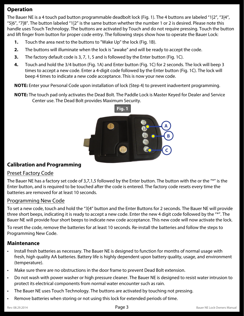#### **Operation**

The Bauer NE is a 4 touch pad button programmable deadbolt lock (Fig. 1). The 4 buttons are labeled "1|2", "3|4", "5|6", "7|8". The button labeled "1|2" is the same button whether the number 1 or 2 is desired. Please note this handle uses Touch Technology. The buttons are activated by Touch and do not require pressing. Touch the button and lift finger from button for proper code entry. The following steps show how to operate the Bauer Lock:

- **1.** Touch the area next to the buttons to "Wake Up" the lock (Fig. 1B).
- **2.** The buttons will illuminate when the lock is "awake" and will be ready to accept the code.
- **3.** The factory default code is 3, 7, 1, 5 and is followed by the Enter button (Fig. 1C).
- **4.** Touch and hold the 3/4 button (Fig. 1A) and Enter button (Fig. 1C) for 2 seconds. The lock will beep 3 times to accept a new code. Enter a 4-digit code followed by the Enter button (Fig. 1C). The lock will beep 4 times to indicate a new code acceptance. This is now your new code.

**NOTE:** Enter your Personal Code upon installation of lock (Step 4) to prevent inadvertent programming.

**NOTE:** The touch pad only activates the Dead Bolt. The Paddle Lock is Master Keyed for Dealer and Service Center use. The Dead Bolt provides Maximum Security.



#### **Calibration and Programming**

#### Preset Factory Code

The Bauer NE has a factory set code of 3,7,1,5 followed by the Enter button. The button with the or the "\*" is the Enter button, and is required to be touched after the code is entered. The factory code resets every time the batteries are removed for at least 10 seconds.

#### Programming New Code

To set a new code, touch and hold the "3|4" button and the Enter Buttons for 2 seconds. The Bauer NE will provide three short beeps, indicating it is ready to accept a new code. Enter the new 4 digit code followed by the "\*". The Bauer NE will provide four short beeps to indicate new code acceptance. This new code will now activate the lock.

To reset the code, remove the batteries for at least 10 seconds. Re-install the batteries and follow the steps to Programming New Code.

#### **Maintenance**

- Install fresh batteries as necessary. The Bauer NE is designed to function for months of normal usage with fresh, high quality AA batteries. Battery life is highly dependent upon battery quality, usage, and environment (temperature).
- Make sure there are no obstructions in the door frame to prevent Dead Bolt extension.
- • Do not wash with power washer or high pressure cleaner. The Bauer NE is designed to resist water intrusion to protect its electrical components from normal water encounter such as rain.
- The Bauer NE uses Touch Technology. The buttons are activated by touching not pressing.
- Remove batteries when storing or not using this lock for extended periods of time.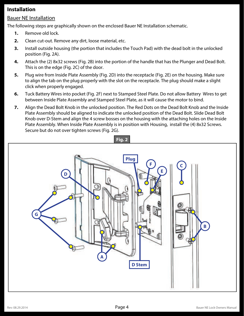#### **Installation**

#### Bauer NE Installation

The following steps are graphically shown on the enclosed Bauer NE Installation schematic.

- **1.** Remove old lock.
- **2.** Clean cut-out. Remove any dirt, loose material, etc.
- **3.** Install outside housing (the portion that includes the Touch Pad) with the dead bolt in the unlocked position (Fig. 2A).
- **4.** Attach the (2) 8x32 screws (Fig. 2B) into the portion of the handle that has the Plunger and Dead Bolt. This is on the edge (Fig. 2C) of the door.
- **5.** Plug wire from Inside Plate Assembly (Fig. 2D) into the receptacle (Fig. 2E) on the housing. Make sure to align the tab on the plug properly with the slot on the receptacle. The plug should make a slight click when properly engaged.
- **6.** Tuck Battery Wires into pocket (Fig. 2F) next to Stamped Steel Plate. Do not allow Battery Wires to get between Inside Plate Assembly and Stamped Steel Plate, as it will cause the motor to bind.
- **7.** Align the Dead Bolt Knob in the unlocked position. The Red Dots on the Dead Bolt Knob and the Inside Plate Assembly should be aligned to indicate the unlocked position of the Dead Bolt. Slide Dead Bolt Knob over D-Stem and align the 4 screw bosses on the housing with the attaching holes on the Inside Plate Assembly. When Inside Plate Assembly is in position with Housing, install the (4) 8x32 Screws. Secure but do not over tighten screws (Fig. 2G).

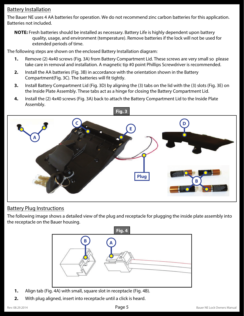#### Battery Installation

The Bauer NE uses 4 AA batteries for operation. We do not recommend zinc carbon batteries for this application. Batteries not included.

**NOTE:** Fresh batteries should be installed as necessary. Battery Life is highly dependent upon battery quality, usage, and environment (temperature). Remove batteries if the lock will not be used for extended periods of time.

The following steps are shown on the enclosed Battery Installation diagram:

- **1.** Remove (2) 4x40 screws (Fig. 3A) from Battery Compartment Lid. These screws are very small so please take care in removal and installation. A magnetic tip #0 point Phillips Screwdriver is recommended.
- **2.** Install the AA batteries (Fig. 3B) in accordance with the orientation shown in the Battery Compartment(Fig. 3C). The batteries will fit tightly.
- **3.** Install Battery Compartment Lid (Fig. 3D) by aligning the (3) tabs on the lid with the (3) slots (Fig. 3E) on the Inside Plate Assembly. These tabs act as a hinge for closing the Battery Compartment Lid.
- **4.** Install the (2) 4x40 screws (Fig. 3A) back to attach the Battery Compartment Lid to the Inside Plate Assembly.



#### Battery Plug Instructions

The following image shows a detailed view of the plug and receptacle for plugging the inside plate assembly into the receptacle on the Bauer housing.



- **1.** Align tab (Fig. 4A) with small, square slot in receptacle (Fig. 4B).
- **2.** With plug aligned, insert into receptacle until a click is heard.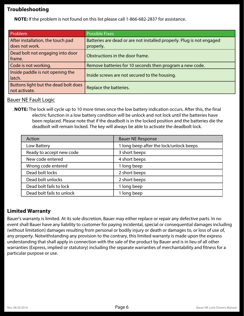#### **Troubleshooting**

**NOTE:** If the problem is not found on this list please call 1-866-682-2837 for assistance.

| Problem                                               | <b>Possible Fixes</b>                                                 |
|-------------------------------------------------------|-----------------------------------------------------------------------|
| After installation, the touch pad                     | Batteries are dead or are not installed properly. Plug is not engaged |
| does not work.                                        | properly.                                                             |
| Dead bolt not engaging into door                      | Obstructions in the door frame.                                       |
| frame.                                                |                                                                       |
| Code is not working.                                  | Remove batteries for 10 seconds then program a new code.              |
| Inside paddle is not opening the<br>latch.            | Inside screws are not secured to the housing.                         |
| Buttons light but the dead bolt does<br>not activate. | Replace the batteries.                                                |

#### Bauer NE Fault Logic

**NOTE:** The lock will cycle up to 10 more times once the low battery indication occurs. After this, the final electric function in a low battery condition will be unlock and not lock until the batteries have been replaced. Please note that if the deadbolt is in the locked position and the batteries die the deadbolt will remain locked. The key will always be able to activate the deadbolt lock.

| Action                    | <b>Bauer NE Response</b>                |
|---------------------------|-----------------------------------------|
| Low Battery               | 1 long beep after the lock/unlock beeps |
| Ready to accept new code  | 3 short beeps                           |
| New code entered          | 4 short beeps                           |
| Wrong code entered        | 1 long beep                             |
| Dead bolt locks           | 2 short beeps                           |
| Dead bolt unlocks         | 2 short beeps                           |
| Dead bolt fails to lock   | 1 long beep                             |
| Dead bolt fails to unlock | 1 long beep                             |

#### **Limited Warranty**

Bauer's warranty is limited. At its sole discretion, Bauer may either replace or repair any defective parts. In no event shall Bauer have any liability to customer for paying incidental, special or consequential damages including (without limitation) damages resulting from personal or bodily injury or death or damages to, or loss of use of, any property. Notwithstanding any provision to the contrary, this limited warranty is made upon the express understanding that shall apply in connection with the sale of the product by Bauer and is in lieu of all other warranties (Express, implied or statutory) including the separate warranties of merchantability and fitness for a particular purpose or use.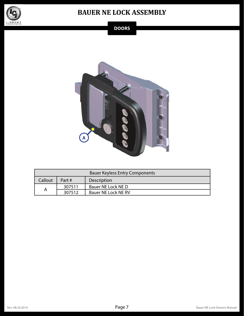

#### **BAUER NE LOCK ASSEMBLY**

#### **DOORS**



| <b>Bauer Keyless Entry Components</b> |          |                     |  |
|---------------------------------------|----------|---------------------|--|
| Callout                               | Part $#$ | Description         |  |
|                                       | 307511   | Bauer NE Lock NE D  |  |
| A                                     | 307512   | Bauer NE Lock NE RV |  |